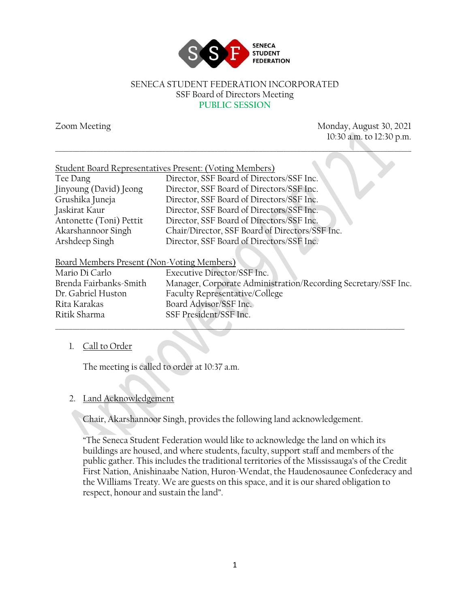

#### SENECA STUDENT FEDERATION INCORPORATED SSF Board of Directors Meeting **PUBLIC SESSION**

\_\_\_\_\_\_\_\_\_\_\_\_\_\_\_\_\_\_\_\_\_\_\_\_\_\_\_\_\_\_\_\_\_\_\_\_\_\_\_\_\_\_\_\_\_\_\_\_\_\_\_\_\_\_\_\_\_\_\_\_\_\_\_\_\_\_\_\_\_\_\_\_\_\_\_\_\_\_\_\_\_\_\_\_\_\_\_\_\_\_\_\_\_\_\_\_\_\_\_\_\_\_\_

Zoom Meeting Monday, August 30, 2021 10:30 a.m. to 12:30 p.m.

| Tee Dang                                   | Director, SSF Board of Directors/SSF Inc.       |
|--------------------------------------------|-------------------------------------------------|
| Jinyoung (David) Jeong                     | Director, SSF Board of Directors/SSF Inc.       |
| Grushika Juneja                            | Director, SSF Board of Directors/SSF Inc.       |
| Jaskirat Kaur                              | Director, SSF Board of Directors/SSF Inc.       |
| Antonette (Toni) Pettit                    | Director, SSF Board of Directors/SSF Inc.       |
| Akarshannoor Singh                         | Chair/Director, SSF Board of Directors/SSF Inc. |
| Arshdeep Singh                             | Director, SSF Board of Directors/SSF Inc.       |
|                                            |                                                 |
| Board Members Present (Non-Voting Members) |                                                 |
| $\cdots$ $\cdots$                          |                                                 |

| Mario Di Carlo         | Executive Director/SSF Inc.                                    |
|------------------------|----------------------------------------------------------------|
| Brenda Fairbanks-Smith | Manager, Corporate Administration/Recording Secretary/SSF Inc. |
| Dr. Gabriel Huston     | Faculty Representative/College                                 |
| Rita Karakas           | Board Advisor/SSF Inc.                                         |
| Ritik Sharma           | SSF President/SSF Inc.                                         |
|                        |                                                                |

## 1. Call to Order

The meeting is called to order at 10:37 a.m.

### 2. Land Acknowledgement

Chair, Akarshannoor Singh, provides the following land acknowledgement.

"The Seneca Student Federation would like to acknowledge the land on which its buildings are housed, and where students, faculty, support staff and members of the public gather. This includes the traditional territories of the Mississauga's of the Credit First Nation, Anishinaabe Nation, Huron-Wendat, the Haudenosaunee Confederacy and the Williams Treaty. We are guests on this space, and it is our shared obligation to respect, honour and sustain the land".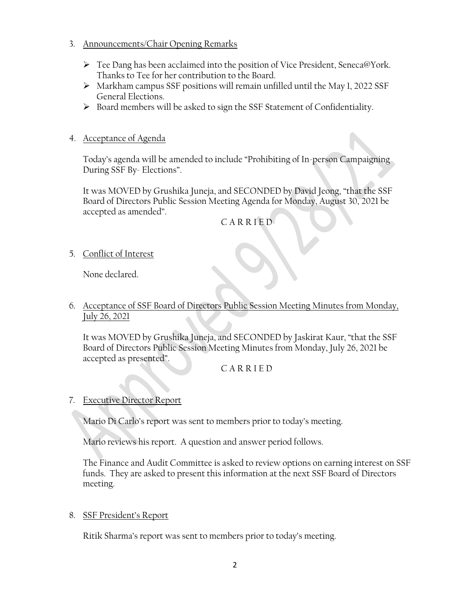### 3. Announcements/Chair Opening Remarks

- ➢ Tee Dang has been acclaimed into the position of Vice President, Seneca@York. Thanks to Tee for her contribution to the Board.
- ➢ Markham campus SSF positions will remain unfilled until the May 1, 2022 SSF General Elections.
- ➢ Board members will be asked to sign the SSF Statement of Confidentiality.

## 4. Acceptance of Agenda

Today's agenda will be amended to include "Prohibiting of In-person Campaigning During SSF By- Elections".

It was MOVED by Grushika Juneja, and SECONDED by David Jeong, "that the SSF Board of Directors Public Session Meeting Agenda for Monday, August 30, 2021 be accepted as amended".

C A R R I E D

5. Conflict of Interest

None declared.

6. Acceptance of SSF Board of Directors Public Session Meeting Minutes from Monday, July 26, 2021

It was MOVED by Grushika Juneja, and SECONDED by Jaskirat Kaur, "that the SSF Board of Directors Public Session Meeting Minutes from Monday, July 26, 2021 be accepted as presented".

## C A R R I E D

## 7. Executive Director Report

Mario Di Carlo's report was sent to members prior to today's meeting.

Mario reviews his report. A question and answer period follows.

The Finance and Audit Committee is asked to review options on earning interest on SSF funds. They are asked to present this information at the next SSF Board of Directors meeting.

## 8. SSF President's Report

Ritik Sharma's report was sent to members prior to today's meeting.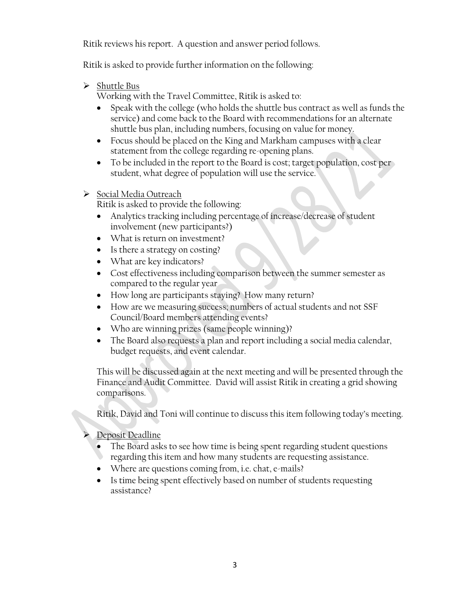Ritik reviews his report. A question and answer period follows.

Ritik is asked to provide further information on the following:

➢ Shuttle Bus

Working with the Travel Committee, Ritik is asked to:

- Speak with the college (who holds the shuttle bus contract as well as funds the service) and come back to the Board with recommendations for an alternate shuttle bus plan, including numbers, focusing on value for money.
- Focus should be placed on the King and Markham campuses with a clear statement from the college regarding re-opening plans.
- To be included in the report to the Board is cost; target population, cost per student, what degree of population will use the service.
- ➢ Social Media Outreach

Ritik is asked to provide the following:

- Analytics tracking including percentage of increase/decrease of student involvement (new participants?)
- What is return on investment?
- Is there a strategy on costing?
- What are key indicators?
- Cost effectiveness including comparison between the summer semester as compared to the regular year
- How long are participants staying? How many return?
- How are we measuring success; numbers of actual students and not SSF Council/Board members attending events?
- Who are winning prizes (same people winning)?
- The Board also requests a plan and report including a social media calendar, budget requests, and event calendar.

This will be discussed again at the next meeting and will be presented through the Finance and Audit Committee. David will assist Ritik in creating a grid showing comparisons.

Ritik, David and Toni will continue to discuss this item following today's meeting.

- ➢ Deposit Deadline
	- The Board asks to see how time is being spent regarding student questions regarding this item and how many students are requesting assistance.
	- Where are questions coming from, i.e. chat, e-mails?
	- Is time being spent effectively based on number of students requesting assistance?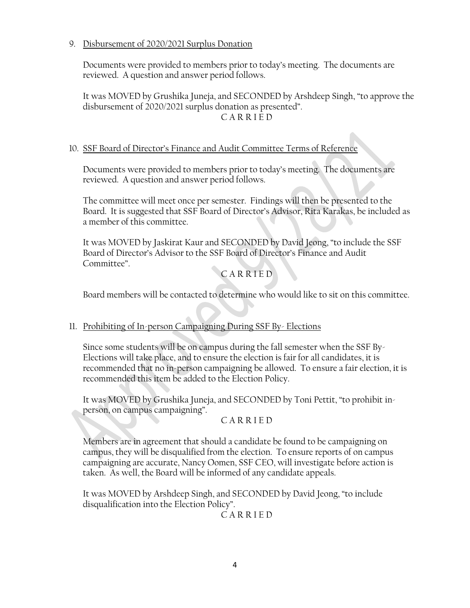### 9. Disbursement of 2020/2021 Surplus Donation

Documents were provided to members prior to today's meeting. The documents are reviewed. A question and answer period follows.

It was MOVED by Grushika Juneja, and SECONDED by Arshdeep Singh, "to approve the disbursement of 2020/2021 surplus donation as presented". C A R R I E D

### 10. SSF Board of Director's Finance and Audit Committee Terms of Reference

Documents were provided to members prior to today's meeting. The documents are reviewed. A question and answer period follows.

The committee will meet once per semester. Findings will then be presented to the Board. It is suggested that SSF Board of Director's Advisor, Rita Karakas, be included as a member of this committee.

It was MOVED by Jaskirat Kaur and SECONDED by David Jeong, "to include the SSF Board of Director's Advisor to the SSF Board of Director's Finance and Audit Committee".

# C A R R I E D

Board members will be contacted to determine who would like to sit on this committee.

### 11. Prohibiting of In-person Campaigning During SSF By- Elections

Since some students will be on campus during the fall semester when the SSF By-Elections will take place, and to ensure the election is fair for all candidates, it is recommended that no in-person campaigning be allowed. To ensure a fair election, it is recommended this item be added to the Election Policy.

It was MOVED by Grushika Juneja, and SECONDED by Toni Pettit, "to prohibit inperson, on campus campaigning".

### C A R R I E D

Members are in agreement that should a candidate be found to be campaigning on campus, they will be disqualified from the election. To ensure reports of on campus campaigning are accurate, Nancy Oomen, SSF CEO, will investigate before action is taken. As well, the Board will be informed of any candidate appeals.

It was MOVED by Arshdeep Singh, and SECONDED by David Jeong, "to include disqualification into the Election Policy".

C A R R I E D